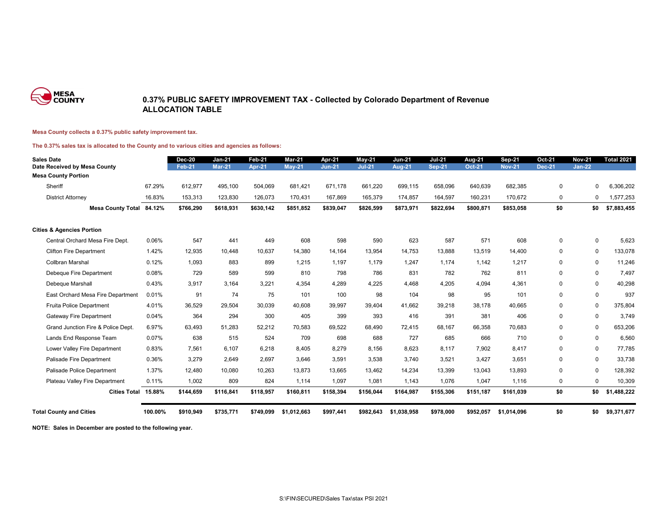

### **0.37% PUBLIC SAFETY IMPROVEMENT TAX - Collected by Colorado Department of Revenue ALLOCATION TABLE**

#### **Mesa County collects a 0.37% public safety improvement tax.**

#### **The 0.37% sales tax is allocated to the County and to various cities and agencies as follows:**

| <b>Sales Date</b><br>Date Received by Mesa County |         | <b>Dec-20</b><br><b>Feb-21</b> | $Jan-21$<br><b>Mar-21</b> | Feb-21<br><b>Apr-21</b> | Mar-21<br><b>May-21</b> | Apr-21<br>$Jun-21$ | <b>May-21</b><br><b>Jul-21</b> | <b>Jun-21</b><br>Aug-21 | <b>Jul-21</b><br><b>Sep-21</b> | <b>Aug-21</b><br><b>Oct-21</b> | <b>Sep-21</b><br><b>Nov-21</b> | Oct-21<br><b>Dec-21</b> | <b>Nov-21</b><br>$Jan-22$ | <b>Total 2021</b> |
|---------------------------------------------------|---------|--------------------------------|---------------------------|-------------------------|-------------------------|--------------------|--------------------------------|-------------------------|--------------------------------|--------------------------------|--------------------------------|-------------------------|---------------------------|-------------------|
| <b>Mesa County Portion</b>                        |         |                                |                           |                         |                         |                    |                                |                         |                                |                                |                                |                         |                           |                   |
| Sheriff                                           | 67.29%  | 612,977                        | 495,100                   | 504,069                 | 681,421                 | 671,178            | 661,220                        | 699,115                 | 658,096                        | 640,639                        | 682,385                        | $\mathbf 0$             | $\Omega$                  | 6,306,202         |
| <b>District Attorney</b>                          | 16.83%  | 153,313                        | 123,830                   | 126,073                 | 170,431                 | 167,869            | 165,379                        | 174,857                 | 164,597                        | 160,231                        | 170,672                        | 0                       | $\Omega$                  | .577,253          |
| Mesa County Total 84.12%                          |         | \$766,290                      | \$618,931                 | \$630,142               | \$851,852               | \$839,047          | \$826,599                      | \$873,971               | \$822,694                      | \$800,871                      | \$853,058                      | \$0                     | \$0                       | \$7,883,455       |
| <b>Cities &amp; Agencies Portion</b>              |         |                                |                           |                         |                         |                    |                                |                         |                                |                                |                                |                         |                           |                   |
| Central Orchard Mesa Fire Dept.                   | 0.06%   | 547                            | 441                       | 449                     | 608                     | 598                | 590                            | 623                     | 587                            | 571                            | 608                            | 0                       | $\Omega$                  | 5,623             |
| <b>Clifton Fire Department</b>                    | 1.42%   | 12,935                         | 10,448                    | 10,637                  | 14,380                  | 14,164             | 13,954                         | 14,753                  | 13,888                         | 13,519                         | 14,400                         | $\mathbf 0$             | $\mathbf 0$               | 133,078           |
| <b>Collbran Marshal</b>                           | 0.12%   | 1,093                          | 883                       | 899                     | 1,215                   | 1,197              | 1,179                          | 1,247                   | 1.174                          | 1,142                          | 1,217                          | $\mathbf 0$             | 0                         | 11,246            |
| Debeque Fire Department                           | 0.08%   | 729                            | 589                       | 599                     | 810                     | 798                | 786                            | 831                     | 782                            | 762                            | 811                            | $\mathbf 0$             | 0                         | 7,497             |
| Debeque Marshall                                  | 0.43%   | 3,917                          | 3,164                     | 3.221                   | 4.354                   | 4,289              | 4,225                          | 4.468                   | 4.205                          | 4,094                          | 4,361                          | $\mathbf 0$             | $\mathbf 0$               | 40,298            |
| East Orchard Mesa Fire Department                 | 0.01%   | 91                             | 74                        | 75                      | 101                     | 100                | 98                             | 104                     | 98                             | 95                             | 101                            | $\mathbf 0$             | $\mathbf 0$               | 937               |
| Fruita Police Department                          | 4.01%   | 36,529                         | 29,504                    | 30,039                  | 40,608                  | 39,997             | 39,404                         | 41,662                  | 39,218                         | 38,178                         | 40,665                         | $\mathbf 0$             | $\mathbf 0$               | 375,804           |
| <b>Gateway Fire Department</b>                    | 0.04%   | 364                            | 294                       | 300                     | 405                     | 399                | 393                            | 416                     | 391                            | 381                            | 406                            | $\mathbf 0$             | $\mathbf 0$               | 3.749             |
| Grand Junction Fire & Police Dept.                | 6.97%   | 63,493                         | 51,283                    | 52,212                  | 70,583                  | 69,522             | 68,490                         | 72.415                  | 68.167                         | 66,358                         | 70,683                         | $\mathbf 0$             | $\mathbf 0$               | 653,206           |
| Lands End Response Team                           | 0.07%   | 638                            | 515                       | 524                     | 709                     | 698                | 688                            | 727                     | 685                            | 666                            | 710                            | $\mathbf 0$             | 0                         | 6,560             |
| Lower Valley Fire Department                      | 0.83%   | 7,561                          | 6.107                     | 6.218                   | 8,405                   | 8.279              | 8,156                          | 8,623                   | 8.117                          | 7,902                          | 8,417                          | $\mathbf 0$             | 0                         | 77,785            |
| Palisade Fire Department                          | 0.36%   | 3,279                          | 2,649                     | 2,697                   | 3,646                   | 3,591              | 3,538                          | 3,740                   | 3,521                          | 3,427                          | 3,651                          | 0                       | 0                         | 33,738            |
| Palisade Police Department                        | 1.37%   | 12.480                         | 10,080                    | 10.263                  | 13.873                  | 13.665             | 13.462                         | 14.234                  | 13.399                         | 13.043                         | 13.893                         | $\mathbf 0$             | 0                         | 128,392           |
| Plateau Valley Fire Department                    | 0.11%   | 1,002                          | 809                       | 824                     | 1,114                   | 1,097              | 1,081                          | 1,143                   | 1.076                          | 1,047                          | 1,116                          | 0                       | 0                         | 10,309            |
| Cities Total 15.88%                               |         | \$144,659                      | \$116,841                 | \$118,957               | \$160,811               | \$158,394          | \$156,044                      | \$164,987               | \$155,306                      | \$151,187                      | \$161,039                      | \$0                     | \$0                       | \$1,488,222       |
| <b>Total County and Cities</b>                    | 100.00% | \$910,949                      | \$735,771                 | \$749.099               | \$1.012.663             | \$997,441          | \$982.643                      | \$1.038.958             | \$978.000                      | \$952.057                      | \$1.014.096                    | \$0                     | \$0                       | \$9,371,677       |

**NOTE: Sales in December are posted to the following year.**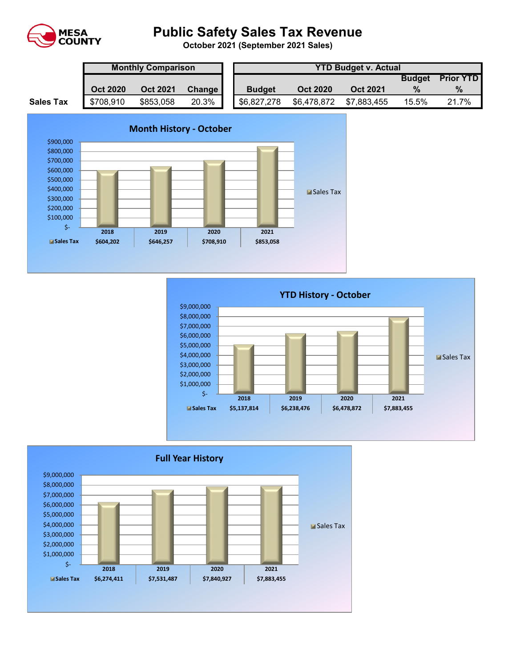

# **Public Safety Sales Tax Revenue**

**October 2021 (September 2021 Sales)** 

|                  | <b>Monthly Comparison</b> |                 |        |  | <b>YTD Budget v. Actual</b> |                 |                 |               |                  |  |  |
|------------------|---------------------------|-----------------|--------|--|-----------------------------|-----------------|-----------------|---------------|------------------|--|--|
|                  |                           |                 |        |  |                             |                 |                 | <b>Budget</b> | <b>Prior YTD</b> |  |  |
|                  | <b>Oct 2020</b>           | <b>Oct 2021</b> | Change |  | <b>Budget</b>               | <b>Oct 2020</b> | <b>Oct 2021</b> |               | $\%$             |  |  |
| <b>Sales Tax</b> | \$708,910                 | \$853,058       | 20.3%  |  | \$6,827,278                 | \$6,478,872     | \$7,883,455     | 15.5%         | 21.7%            |  |  |